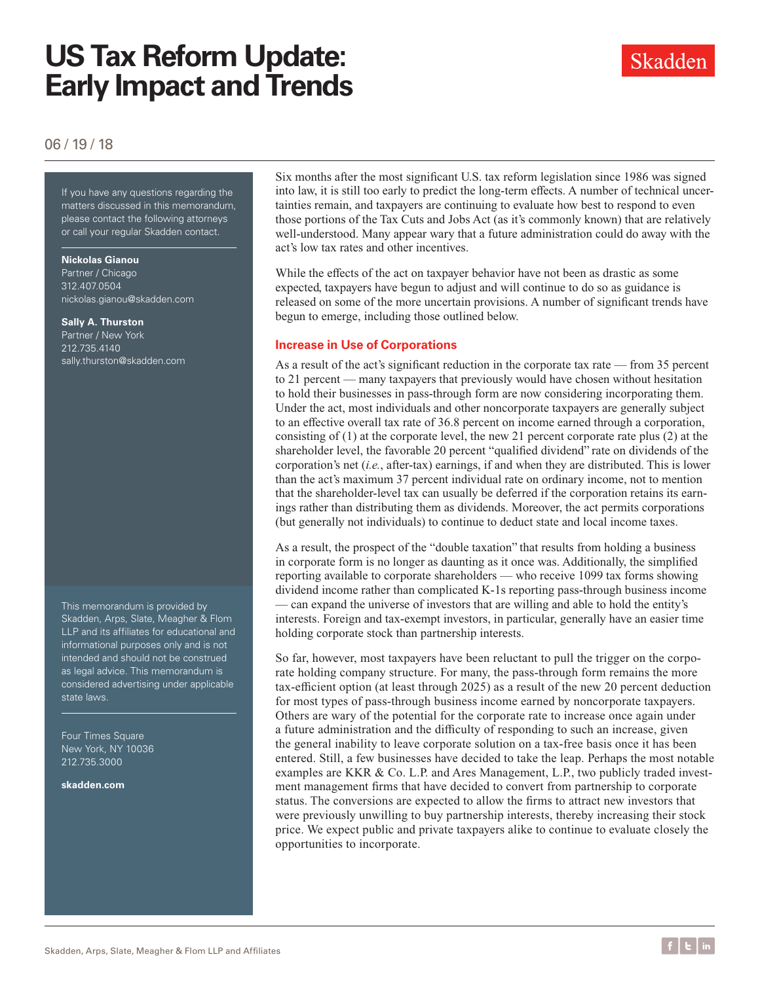# **US Tax Reform Update: Early Impact and Trends**



06 / 19 / 18

If you have any questions regarding the matters discussed in this memorandum, please contact the following attorneys or call your regular Skadden contact.

#### **Nickolas Gianou**

Partner / Chicago 312.407.0504 nickolas.gianou@skadden.com

#### **Sally A. Thurston**

Partner / New York 212.735.4140 sally.thurston@skadden.com

This memorandum is provided by Skadden, Arps, Slate, Meagher & Flom LLP and its affiliates for educational and informational purposes only and is not intended and should not be construed as legal advice. This memorandum is considered advertising under applicable state laws.

Four Times Square New York, NY 10036 212.735.3000

**[skadden.com](http://www.skadden.com)**

Six months after the most significant U.S. tax reform legislation since 1986 was signed into law, it is still too early to predict the long-term effects. A number of technical uncertainties remain, and taxpayers are continuing to evaluate how best to respond to even those portions of the Tax Cuts and Jobs Act (as it's commonly known) that are relatively well-understood. Many appear wary that a future administration could do away with the act's low tax rates and other incentives.

While the effects of the act on taxpayer behavior have not been as drastic as some expected, taxpayers have begun to adjust and will continue to do so as guidance is released on some of the more uncertain provisions. A number of significant trends have begun to emerge, including those outlined below.

#### **Increase in Use of Corporations**

As a result of the act's significant reduction in the corporate tax rate — from 35 percent to 21 percent — many taxpayers that previously would have chosen without hesitation to hold their businesses in pass-through form are now considering incorporating them. Under the act, most individuals and other noncorporate taxpayers are generally subject to an effective overall tax rate of 36.8 percent on income earned through a corporation, consisting of (1) at the corporate level, the new 21 percent corporate rate plus (2) at the shareholder level, the favorable 20 percent "qualified dividend" rate on dividends of the corporation's net (*i.e.*, after-tax) earnings, if and when they are distributed. This is lower than the act's maximum 37 percent individual rate on ordinary income, not to mention that the shareholder-level tax can usually be deferred if the corporation retains its earnings rather than distributing them as dividends. Moreover, the act permits corporations (but generally not individuals) to continue to deduct state and local income taxes.

As a result, the prospect of the "double taxation" that results from holding a business in corporate form is no longer as daunting as it once was. Additionally, the simplified reporting available to corporate shareholders — who receive 1099 tax forms showing dividend income rather than complicated K-1s reporting pass-through business income — can expand the universe of investors that are willing and able to hold the entity's interests. Foreign and tax-exempt investors, in particular, generally have an easier time holding corporate stock than partnership interests.

So far, however, most taxpayers have been reluctant to pull the trigger on the corporate holding company structure. For many, the pass-through form remains the more tax-efficient option (at least through 2025) as a result of the new 20 percent deduction for most types of pass-through business income earned by noncorporate taxpayers. Others are wary of the potential for the corporate rate to increase once again under a future administration and the difficulty of responding to such an increase, given the general inability to leave corporate solution on a tax-free basis once it has been entered. Still, a few businesses have decided to take the leap. Perhaps the most notable examples are KKR & Co. L.P. and Ares Management, L.P., two publicly traded investment management firms that have decided to convert from partnership to corporate status. The conversions are expected to allow the firms to attract new investors that were previously unwilling to buy partnership interests, thereby increasing their stock price. We expect public and private taxpayers alike to continue to evaluate closely the opportunities to incorporate.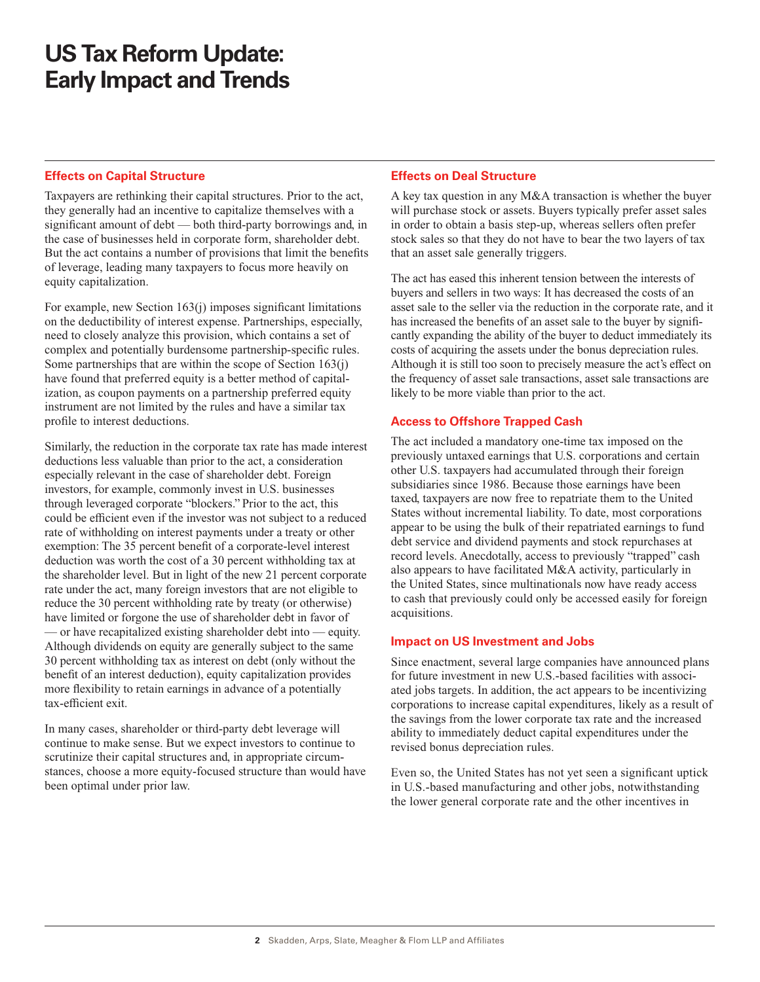# **US Tax Reform Update: Early Impact and Trends**

#### **Effects on Capital Structure**

Taxpayers are rethinking their capital structures. Prior to the act, they generally had an incentive to capitalize themselves with a significant amount of debt — both third-party borrowings and, in the case of businesses held in corporate form, shareholder debt. But the act contains a number of provisions that limit the benefits of leverage, leading many taxpayers to focus more heavily on equity capitalization.

For example, new Section 163(j) imposes significant limitations on the deductibility of interest expense. Partnerships, especially, need to closely analyze this provision, which contains a set of complex and potentially burdensome partnership-specific rules. Some partnerships that are within the scope of Section 163(j) have found that preferred equity is a better method of capitalization, as coupon payments on a partnership preferred equity instrument are not limited by the rules and have a similar tax profile to interest deductions.

Similarly, the reduction in the corporate tax rate has made interest deductions less valuable than prior to the act, a consideration especially relevant in the case of shareholder debt. Foreign investors, for example, commonly invest in U.S. businesses through leveraged corporate "blockers." Prior to the act, this could be efficient even if the investor was not subject to a reduced rate of withholding on interest payments under a treaty or other exemption: The 35 percent benefit of a corporate-level interest deduction was worth the cost of a 30 percent withholding tax at the shareholder level. But in light of the new 21 percent corporate rate under the act, many foreign investors that are not eligible to reduce the 30 percent withholding rate by treaty (or otherwise) have limited or forgone the use of shareholder debt in favor of — or have recapitalized existing shareholder debt into — equity. Although dividends on equity are generally subject to the same 30 percent withholding tax as interest on debt (only without the benefit of an interest deduction), equity capitalization provides more flexibility to retain earnings in advance of a potentially tax-efficient exit.

In many cases, shareholder or third-party debt leverage will continue to make sense. But we expect investors to continue to scrutinize their capital structures and, in appropriate circumstances, choose a more equity-focused structure than would have been optimal under prior law.

#### **Effects on Deal Structure**

A key tax question in any M&A transaction is whether the buyer will purchase stock or assets. Buyers typically prefer asset sales in order to obtain a basis step-up, whereas sellers often prefer stock sales so that they do not have to bear the two layers of tax that an asset sale generally triggers.

The act has eased this inherent tension between the interests of buyers and sellers in two ways: It has decreased the costs of an asset sale to the seller via the reduction in the corporate rate, and it has increased the benefits of an asset sale to the buyer by significantly expanding the ability of the buyer to deduct immediately its costs of acquiring the assets under the bonus depreciation rules. Although it is still too soon to precisely measure the act's effect on the frequency of asset sale transactions, asset sale transactions are likely to be more viable than prior to the act.

### **Access to Offshore Trapped Cash**

The act included a mandatory one-time tax imposed on the previously untaxed earnings that U.S. corporations and certain other U.S. taxpayers had accumulated through their foreign subsidiaries since 1986. Because those earnings have been taxed, taxpayers are now free to repatriate them to the United States without incremental liability. To date, most corporations appear to be using the bulk of their repatriated earnings to fund debt service and dividend payments and stock repurchases at record levels. Anecdotally, access to previously "trapped" cash also appears to have facilitated M&A activity, particularly in the United States, since multinationals now have ready access to cash that previously could only be accessed easily for foreign acquisitions.

### **Impact on US Investment and Jobs**

Since enactment, several large companies have announced plans for future investment in new U.S.-based facilities with associated jobs targets. In addition, the act appears to be incentivizing corporations to increase capital expenditures, likely as a result of the savings from the lower corporate tax rate and the increased ability to immediately deduct capital expenditures under the revised bonus depreciation rules.

Even so, the United States has not yet seen a significant uptick in U.S.-based manufacturing and other jobs, notwithstanding the lower general corporate rate and the other incentives in